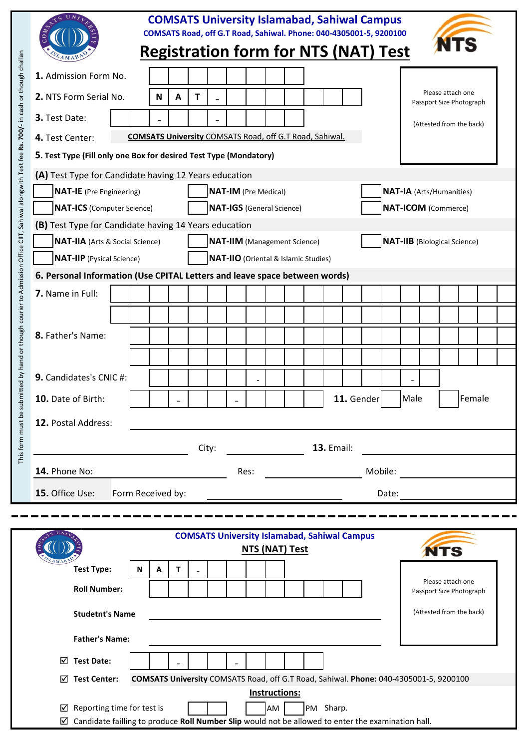| bmitted by hand or though courier to Admission Office CIIT, Sahiwal alongwith Test fee <b>Rs. 700/</b> - in cash or though challan | <b>COMSATS University Islamabad, Sahiwal Campus</b><br>COMSATS Road, off G.T Road, Sahiwal. Phone: 040-4305001-5, 9200100<br><b>Registration form for NTS (NAT) Test</b> |       |                                                                |   |                             |                   |  |                 |                                     |            |                            |  |                                                     |  |                                                                                                                                                                                                                                      |                                     |                          |  |                   |                          |  |  |
|------------------------------------------------------------------------------------------------------------------------------------|--------------------------------------------------------------------------------------------------------------------------------------------------------------------------|-------|----------------------------------------------------------------|---|-----------------------------|-------------------|--|-----------------|-------------------------------------|------------|----------------------------|--|-----------------------------------------------------|--|--------------------------------------------------------------------------------------------------------------------------------------------------------------------------------------------------------------------------------------|-------------------------------------|--------------------------|--|-------------------|--------------------------|--|--|
|                                                                                                                                    | 1. Admission Form No.                                                                                                                                                    |       |                                                                |   |                             |                   |  |                 |                                     |            |                            |  |                                                     |  |                                                                                                                                                                                                                                      |                                     |                          |  |                   |                          |  |  |
|                                                                                                                                    | 2. NTS Form Serial No.                                                                                                                                                   |       |                                                                | N | A                           | Т                 |  |                 |                                     |            |                            |  |                                                     |  |                                                                                                                                                                                                                                      |                                     |                          |  | Please attach one | Passport Size Photograph |  |  |
|                                                                                                                                    | 3. Test Date:                                                                                                                                                            |       |                                                                |   |                             |                   |  |                 |                                     |            |                            |  |                                                     |  |                                                                                                                                                                                                                                      |                                     | (Attested from the back) |  |                   |                          |  |  |
|                                                                                                                                    | 4. Test Center:                                                                                                                                                          |       | <b>COMSATS University COMSATS Road, off G.T Road, Sahiwal.</b> |   |                             |                   |  |                 |                                     |            |                            |  |                                                     |  |                                                                                                                                                                                                                                      |                                     |                          |  |                   |                          |  |  |
|                                                                                                                                    | 5. Test Type (Fill only one Box for desired Test Type (Mondatory)                                                                                                        |       |                                                                |   |                             |                   |  |                 |                                     |            |                            |  |                                                     |  |                                                                                                                                                                                                                                      |                                     |                          |  |                   |                          |  |  |
|                                                                                                                                    | (A) Test Type for Candidate having 12 Years education                                                                                                                    |       |                                                                |   |                             |                   |  |                 |                                     |            |                            |  |                                                     |  |                                                                                                                                                                                                                                      |                                     |                          |  |                   |                          |  |  |
|                                                                                                                                    | <b>NAT-IE</b> (Pre Engineering)                                                                                                                                          |       |                                                                |   | <b>NAT-IM</b> (Pre Medical) |                   |  |                 |                                     |            |                            |  | <b>NAT-IA</b> (Arts/Humanities)                     |  |                                                                                                                                                                                                                                      |                                     |                          |  |                   |                          |  |  |
|                                                                                                                                    | <b>NAT-ICS</b> (Computer Science)                                                                                                                                        |       | <b>NAT-IGS</b> (General Science)                               |   |                             |                   |  |                 |                                     |            | <b>NAT-ICOM</b> (Commerce) |  |                                                     |  |                                                                                                                                                                                                                                      |                                     |                          |  |                   |                          |  |  |
|                                                                                                                                    | (B) Test Type for Candidate having 14 Years education                                                                                                                    |       |                                                                |   |                             |                   |  |                 |                                     |            |                            |  |                                                     |  |                                                                                                                                                                                                                                      |                                     |                          |  |                   |                          |  |  |
|                                                                                                                                    | <b>NAT-IIA</b> (Arts & Social Science)                                                                                                                                   |       |                                                                |   |                             |                   |  |                 | <b>NAT-IIM</b> (Management Science) |            |                            |  |                                                     |  |                                                                                                                                                                                                                                      | <b>NAT-IIB</b> (Biological Science) |                          |  |                   |                          |  |  |
|                                                                                                                                    | NAT-IIO (Oriental & Islamic Studies)<br><b>NAT-IIP</b> (Pysical Science)                                                                                                 |       |                                                                |   |                             |                   |  |                 |                                     |            |                            |  |                                                     |  |                                                                                                                                                                                                                                      |                                     |                          |  |                   |                          |  |  |
|                                                                                                                                    | 6. Personal Information (Use CPITAL Letters and leave space between words)                                                                                               |       |                                                                |   |                             |                   |  |                 |                                     |            |                            |  |                                                     |  |                                                                                                                                                                                                                                      |                                     |                          |  |                   |                          |  |  |
|                                                                                                                                    | 7. Name in Full:                                                                                                                                                         |       |                                                                |   |                             |                   |  |                 |                                     |            |                            |  |                                                     |  |                                                                                                                                                                                                                                      |                                     |                          |  |                   |                          |  |  |
|                                                                                                                                    |                                                                                                                                                                          |       |                                                                |   |                             |                   |  |                 |                                     |            |                            |  |                                                     |  |                                                                                                                                                                                                                                      |                                     |                          |  |                   |                          |  |  |
|                                                                                                                                    | 8. Father's Name:                                                                                                                                                        |       |                                                                |   |                             |                   |  |                 |                                     |            |                            |  |                                                     |  |                                                                                                                                                                                                                                      |                                     |                          |  |                   |                          |  |  |
|                                                                                                                                    |                                                                                                                                                                          |       |                                                                |   |                             |                   |  |                 |                                     |            |                            |  |                                                     |  |                                                                                                                                                                                                                                      |                                     |                          |  |                   |                          |  |  |
|                                                                                                                                    |                                                                                                                                                                          |       |                                                                |   |                             |                   |  |                 |                                     |            |                            |  |                                                     |  |                                                                                                                                                                                                                                      |                                     |                          |  |                   |                          |  |  |
|                                                                                                                                    | 9. Candidates's CNIC #:                                                                                                                                                  |       |                                                                |   |                             |                   |  |                 |                                     |            |                            |  |                                                     |  |                                                                                                                                                                                                                                      |                                     |                          |  |                   |                          |  |  |
|                                                                                                                                    | 10. Date of Birth:                                                                                                                                                       |       |                                                                |   |                             |                   |  |                 |                                     | 11. Gender |                            |  | Female<br>Male                                      |  |                                                                                                                                                                                                                                      |                                     |                          |  |                   |                          |  |  |
|                                                                                                                                    | 12. Postal Address:                                                                                                                                                      |       |                                                                |   |                             |                   |  |                 |                                     |            |                            |  |                                                     |  |                                                                                                                                                                                                                                      |                                     |                          |  |                   |                          |  |  |
| This form must be su                                                                                                               |                                                                                                                                                                          | City: |                                                                |   |                             |                   |  |                 |                                     |            |                            |  |                                                     |  |                                                                                                                                                                                                                                      |                                     |                          |  |                   |                          |  |  |
|                                                                                                                                    |                                                                                                                                                                          |       |                                                                |   |                             | <b>13. Email:</b> |  |                 |                                     |            |                            |  |                                                     |  |                                                                                                                                                                                                                                      |                                     |                          |  |                   |                          |  |  |
|                                                                                                                                    | 14. Phone No:                                                                                                                                                            |       |                                                                |   |                             |                   |  | Mobile:<br>Res: |                                     |            |                            |  |                                                     |  | <u>and the company of the company of the company of the company of the company of the company of the company of the company of the company of the company of the company of the company of the company of the company of the com</u> |                                     |                          |  |                   |                          |  |  |
|                                                                                                                                    | 15. Office Use:<br>Form Received by:                                                                                                                                     |       |                                                                |   |                             |                   |  | Date:           |                                     |            |                            |  |                                                     |  |                                                                                                                                                                                                                                      |                                     |                          |  |                   |                          |  |  |
|                                                                                                                                    |                                                                                                                                                                          |       |                                                                |   |                             |                   |  |                 |                                     |            |                            |  |                                                     |  |                                                                                                                                                                                                                                      |                                     |                          |  |                   |                          |  |  |
|                                                                                                                                    |                                                                                                                                                                          |       |                                                                |   |                             |                   |  |                 |                                     |            | NTS (NAT) Test             |  | <b>COMSATS University Islamabad, Sahiwal Campus</b> |  |                                                                                                                                                                                                                                      |                                     |                          |  | <b>MTC</b>        |                          |  |  |

|                                 | CONSATS ONIVERSITY ISIGNIQUOG, SQINVOI COMPOS<br>NTS (NAT) Test                                    | <b>NTS</b>                                    |  |  |  |  |  |  |
|---------------------------------|----------------------------------------------------------------------------------------------------|-----------------------------------------------|--|--|--|--|--|--|
| $A$ MAN<br><b>Test Type:</b>    | N<br>А                                                                                             |                                               |  |  |  |  |  |  |
| <b>Roll Number:</b>             |                                                                                                    | Please attach one<br>Passport Size Photograph |  |  |  |  |  |  |
| <b>Studetnt's Name</b>          |                                                                                                    | (Attested from the back)                      |  |  |  |  |  |  |
| <b>Father's Name:</b>           |                                                                                                    |                                               |  |  |  |  |  |  |
| <b>Test Date:</b><br>⊠          |                                                                                                    |                                               |  |  |  |  |  |  |
| <b>Test Center:</b><br>☑        | COMSATS University COMSATS Road, off G.T Road, Sahiwal. Phone: 040-4305001-5, 9200100              |                                               |  |  |  |  |  |  |
|                                 | Instructions:                                                                                      |                                               |  |  |  |  |  |  |
| Reporting time for test is<br>☑ | Sharp.<br>PM<br>AM                                                                                 |                                               |  |  |  |  |  |  |
| ☑                               | Candidate failling to produce Roll Number Slip would not be allowed to enter the examination hall. |                                               |  |  |  |  |  |  |